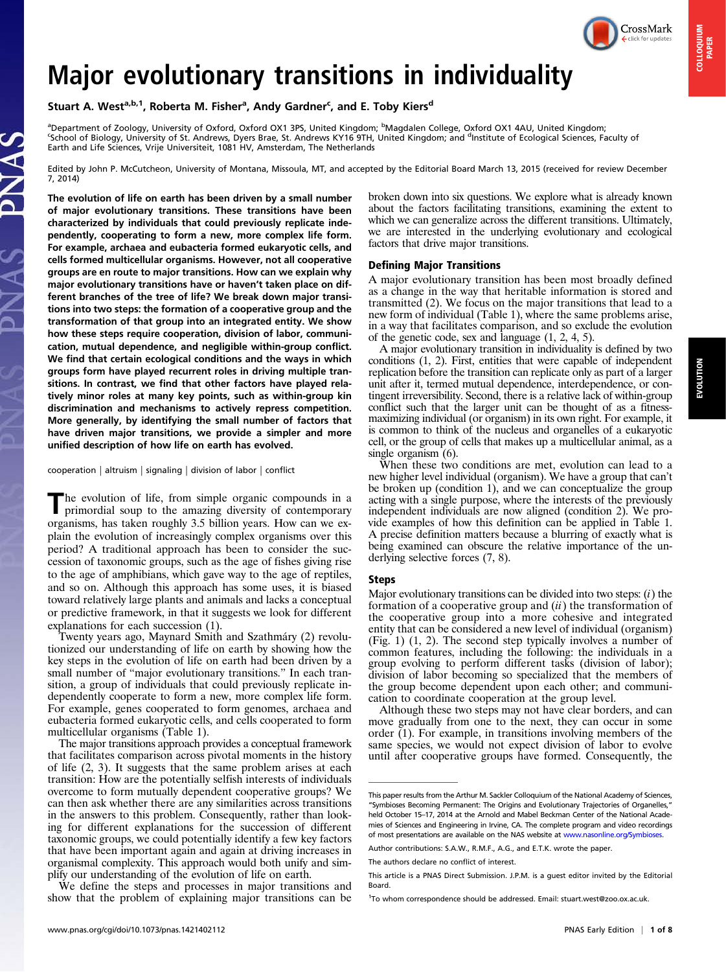

# Major evolutionary transitions in individuality

Stuart A. West<sup>a,b,1</sup>, Roberta M. Fisher<sup>a</sup>, Andy Gardner<sup>c</sup>, and E. Toby Kiers<sup>d</sup>

<sup>a</sup>Department of Zoology, University of Oxford, Oxford OX1 3PS, United Kingdom; <sup>b</sup>Magdalen College, Oxford OX1 4AU, United Kingdom;<br><sup>C</sup>School of Pielogy, University of St. Andrews, Dyers Prae, St. Andrews KX16 9TH, United School of Biology, University of St. Andrews, Dyers Brae, St. Andrews KY16 9TH, United Kingdom; and <sup>d</sup>institute of Ecological Sciences, Faculty of Earth and Life Sciences, Vrije Universiteit, 1081 HV, Amsterdam, The Netherlands

Edited by John P. McCutcheon, University of Montana, Missoula, MT, and accepted by the Editorial Board March 13, 2015 (received for review December 7, 2014)

The evolution of life on earth has been driven by a small number of major evolutionary transitions. These transitions have been characterized by individuals that could previously replicate independently, cooperating to form a new, more complex life form. For example, archaea and eubacteria formed eukaryotic cells, and cells formed multicellular organisms. However, not all cooperative groups are en route to major transitions. How can we explain why major evolutionary transitions have or haven't taken place on different branches of the tree of life? We break down major transitions into two steps: the formation of a cooperative group and the transformation of that group into an integrated entity. We show how these steps require cooperation, division of labor, communication, mutual dependence, and negligible within-group conflict. We find that certain ecological conditions and the ways in which groups form have played recurrent roles in driving multiple transitions. In contrast, we find that other factors have played relatively minor roles at many key points, such as within-group kin discrimination and mechanisms to actively repress competition. More generally, by identifying the small number of factors that have driven major transitions, we provide a simpler and more unified description of how life on earth has evolved.

#### cooperation | altruism | signaling | division of labor | conflict

The evolution of life, from simple organic compounds in a primordial soup to the amazing diversity of contemporary organisms, has taken roughly 3.5 billion years. How can we explain the evolution of increasingly complex organisms over this period? A traditional approach has been to consider the succession of taxonomic groups, such as the age of fishes giving rise to the age of amphibians, which gave way to the age of reptiles, and so on. Although this approach has some uses, it is biased toward relatively large plants and animals and lacks a conceptual or predictive framework, in that it suggests we look for different explanations for each succession (1).

Twenty years ago, Maynard Smith and Szathmáry (2) revolutionized our understanding of life on earth by showing how the key steps in the evolution of life on earth had been driven by a small number of "major evolutionary transitions." In each transition, a group of individuals that could previously replicate independently cooperate to form a new, more complex life form. For example, genes cooperated to form genomes, archaea and eubacteria formed eukaryotic cells, and cells cooperated to form multicellular organisms (Table 1).

The major transitions approach provides a conceptual framework that facilitates comparison across pivotal moments in the history of life (2, 3). It suggests that the same problem arises at each transition: How are the potentially selfish interests of individuals overcome to form mutually dependent cooperative groups? We can then ask whether there are any similarities across transitions in the answers to this problem. Consequently, rather than looking for different explanations for the succession of different taxonomic groups, we could potentially identify a few key factors that have been important again and again at driving increases in organismal complexity. This approach would both unify and simplify our understanding of the evolution of life on earth.

We define the steps and processes in major transitions and show that the problem of explaining major transitions can be broken down into six questions. We explore what is already known about the factors facilitating transitions, examining the extent to which we can generalize across the different transitions. Ultimately, we are interested in the underlying evolutionary and ecological factors that drive major transitions.

#### Defining Major Transitions

A major evolutionary transition has been most broadly defined as a change in the way that heritable information is stored and transmitted (2). We focus on the major transitions that lead to a new form of individual (Table 1), where the same problems arise, in a way that facilitates comparison, and so exclude the evolution of the genetic code, sex and language (1, 2, 4, 5).

A major evolutionary transition in individuality is defined by two conditions (1, 2). First, entities that were capable of independent replication before the transition can replicate only as part of a larger unit after it, termed mutual dependence, interdependence, or contingent irreversibility. Second, there is a relative lack of within-group conflict such that the larger unit can be thought of as a fitnessmaximizing individual (or organism) in its own right. For example, it is common to think of the nucleus and organelles of a eukaryotic cell, or the group of cells that makes up a multicellular animal, as a single organism (6).

When these two conditions are met, evolution can lead to a new higher level individual (organism). We have a group that can't be broken up (condition 1), and we can conceptualize the group acting with a single purpose, where the interests of the previously independent individuals are now aligned (condition 2). We provide examples of how this definition can be applied in Table 1. A precise definition matters because a blurring of exactly what is being examined can obscure the relative importance of the underlying selective forces (7, 8).

#### Steps

Major evolutionary transitions can be divided into two steps:  $(i)$  the formation of a cooperative group and  $(ii)$  the transformation of the cooperative group into a more cohesive and integrated entity that can be considered a new level of individual (organism) (Fig. 1) (1, 2). The second step typically involves a number of common features, including the following: the individuals in a group evolving to perform different tasks (division of labor); division of labor becoming so specialized that the members of the group become dependent upon each other; and communication to coordinate cooperation at the group level.

Although these two steps may not have clear borders, and can move gradually from one to the next, they can occur in some order (1). For example, in transitions involving members of the same species, we would not expect division of labor to evolve until after cooperative groups have formed. Consequently, the **COLLOQUIUM**<br>PAPER

This paper results from the Arthur M. Sackler Colloquium of the National Academy of Sciences, "Symbioses Becoming Permanent: The Origins and Evolutionary Trajectories of Organelles," held October 15–17, 2014 at the Arnold and Mabel Beckman Center of the National Academies of Sciences and Engineering in Irvine, CA. The complete program and video recordings of most presentations are available on the NAS website at [www.nasonline.org/Symbioses](http://www.nasonline.org/Symbioses).

Author contributions: S.A.W., R.M.F., A.G., and E.T.K. wrote the paper.

The authors declare no conflict of interest.

This article is a PNAS Direct Submission. J.P.M. is a guest editor invited by the Editorial Board.

<sup>&</sup>lt;sup>1</sup>To whom correspondence should be addressed. Email: [stuart.west@zoo.ox.ac.uk.](mailto:stuart.west@zoo.ox.ac.uk)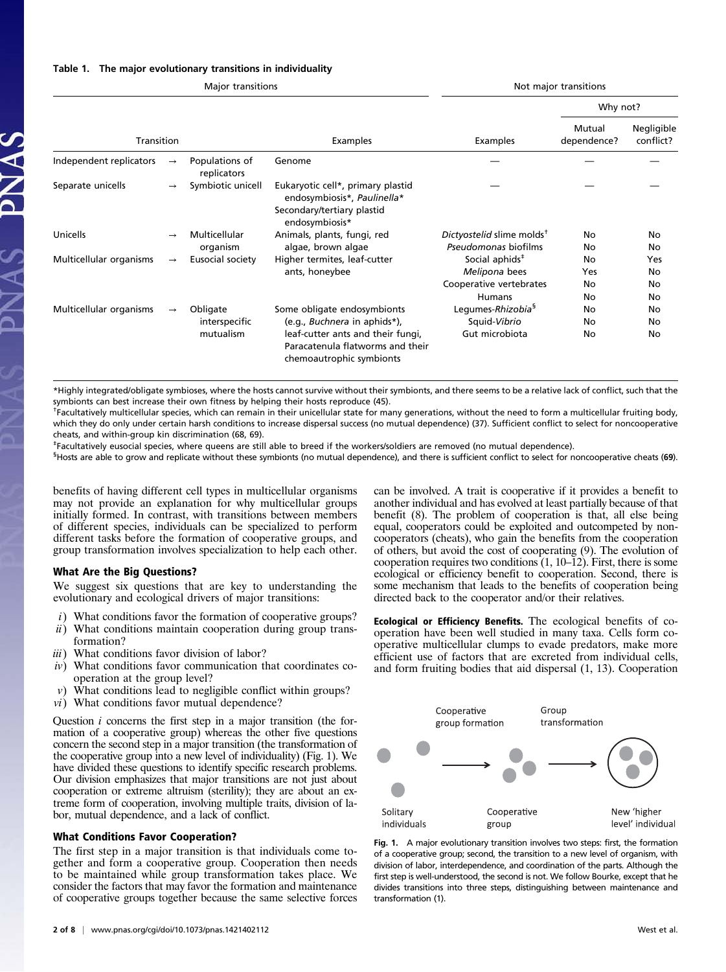#### Table 1. The major evolutionary transitions in individuality

Major transitions Not major transitions Not major transitions Not major transitions Not major transitions Not major transitions  $\mathbb{R}^n$ 

|                         |               |                                        |                                                                                                                                                                  |                                                               | Why not?              |                         |
|-------------------------|---------------|----------------------------------------|------------------------------------------------------------------------------------------------------------------------------------------------------------------|---------------------------------------------------------------|-----------------------|-------------------------|
| Transition              |               |                                        | Examples                                                                                                                                                         | Examples                                                      | Mutual<br>dependence? | Negligible<br>conflict? |
| Independent replicators | $\rightarrow$ | Populations of<br>replicators          | Genome                                                                                                                                                           |                                                               |                       |                         |
| Separate unicells       | $\rightarrow$ | Symbiotic unicell                      | Eukaryotic cell*, primary plastid<br>endosymbiosis*, Paulinella*<br>Secondary/tertiary plastid<br>endosymbiosis*                                                 |                                                               |                       |                         |
| Unicells                | $\rightarrow$ | Multicellular<br>organism              | Animals, plants, fungi, red<br>algae, brown algae                                                                                                                | Dictyostelid slime molds <sup>+</sup><br>Pseudomonas biofilms | No<br>No              | No<br>No                |
| Multicellular organisms | $\rightarrow$ | Eusocial society                       | Higher termites, leaf-cutter<br>ants, honeybee                                                                                                                   | Social aphids <sup>#</sup>                                    | No                    | Yes                     |
|                         |               |                                        |                                                                                                                                                                  | Melipona bees                                                 | Yes                   | No                      |
|                         |               |                                        |                                                                                                                                                                  | Cooperative vertebrates                                       | No                    | No                      |
|                         |               |                                        |                                                                                                                                                                  | <b>Humans</b>                                                 | No                    | No                      |
| Multicellular organisms |               | Obligate<br>interspecific<br>mutualism | Some obligate endosymbionts<br>(e.g., Buchnera in aphids*),<br>leaf-cutter ants and their fungi,<br>Paracatenula flatworms and their<br>chemoautrophic symbionts | Lequmes-Rhizobia <sup>s</sup>                                 | No                    | No                      |
|                         |               |                                        |                                                                                                                                                                  | Squid-Vibrio                                                  | No                    | No                      |
|                         |               |                                        |                                                                                                                                                                  | Gut microbiota                                                | No                    | No                      |

\*Highly integrated/obligate symbioses, where the hosts cannot survive without their symbionts, and there seems to be a relative lack of conflict, such that the symbionts can best increase their own fitness by helping their hosts reproduce (45).

† Facultatively multicellular species, which can remain in their unicellular state for many generations, without the need to form a multicellular fruiting body, which they do only under certain harsh conditions to increase dispersal success (no mutual dependence) (37). Sufficient conflict to select for noncooperative cheats, and within-group kin discrimination (68, 69).

‡ Facultatively eusocial species, where queens are still able to breed if the workers/soldiers are removed (no mutual dependence).

§Hosts are able to grow and replicate without these symbionts (no mutual dependence), and there is sufficient conflict to select for noncooperative cheats (69).

benefits of having different cell types in multicellular organisms may not provide an explanation for why multicellular groups initially formed. In contrast, with transitions between members of different species, individuals can be specialized to perform different tasks before the formation of cooperative groups, and group transformation involves specialization to help each other.

#### What Are the Big Questions?

We suggest six questions that are key to understanding the evolutionary and ecological drivers of major transitions:

- i) What conditions favor the formation of cooperative groups?
- $ii)$  What conditions maintain cooperation during group transformation?
- iii) What conditions favor division of labor?
- $iv)$  What conditions favor communication that coordinates cooperation at the group level?
- $\nu$ ) What conditions lead to negligible conflict within groups?
- vi) What conditions favor mutual dependence?

Question i concerns the first step in a major transition (the formation of a cooperative group) whereas the other five questions concern the second step in a major transition (the transformation of the cooperative group into a new level of individuality) (Fig. 1). We have divided these questions to identify specific research problems. Our division emphasizes that major transitions are not just about cooperation or extreme altruism (sterility); they are about an extreme form of cooperation, involving multiple traits, division of labor, mutual dependence, and a lack of conflict.

#### What Conditions Favor Cooperation?

The first step in a major transition is that individuals come together and form a cooperative group. Cooperation then needs to be maintained while group transformation takes place. We consider the factors that may favor the formation and maintenance of cooperative groups together because the same selective forces can be involved. A trait is cooperative if it provides a benefit to another individual and has evolved at least partially because of that benefit (8). The problem of cooperation is that, all else being equal, cooperators could be exploited and outcompeted by noncooperators (cheats), who gain the benefits from the cooperation of others, but avoid the cost of cooperating (9). The evolution of cooperation requires two conditions (1, 10–12). First, there is some ecological or efficiency benefit to cooperation. Second, there is some mechanism that leads to the benefits of cooperation being directed back to the cooperator and/or their relatives.

Ecological or Efficiency Benefits. The ecological benefits of cooperation have been well studied in many taxa. Cells form cooperative multicellular clumps to evade predators, make more efficient use of factors that are excreted from individual cells, and form fruiting bodies that aid dispersal (1, 13). Cooperation



Fig. 1. A major evolutionary transition involves two steps: first, the formation of a cooperative group; second, the transition to a new level of organism, with division of labor, interdependence, and coordination of the parts. Although the first step is well-understood, the second is not. We follow Bourke, except that he divides transitions into three steps, distinguishing between maintenance and transformation (1).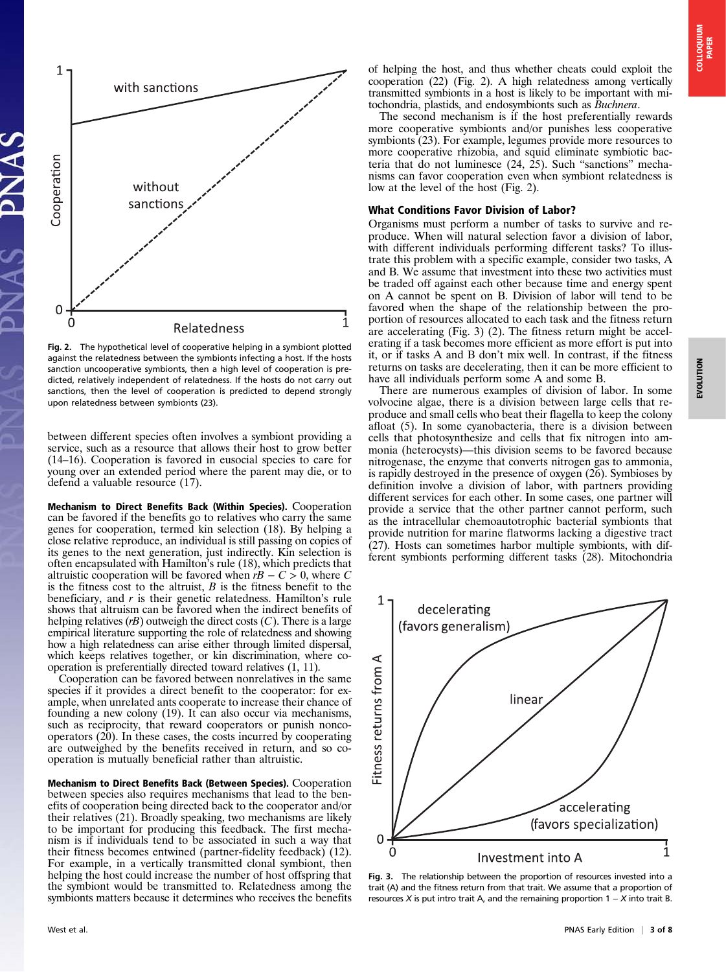

Fig. 2. The hypothetical level of cooperative helping in a symbiont plotted against the relatedness between the symbionts infecting a host. If the hosts sanction uncooperative symbionts, then a high level of cooperation is predicted, relatively independent of relatedness. If the hosts do not carry out sanctions, then the level of cooperation is predicted to depend strongly upon relatedness between symbionts (23).

between different species often involves a symbiont providing a service, such as a resource that allows their host to grow better (14–16). Cooperation is favored in eusocial species to care for young over an extended period where the parent may die, or to defend a valuable resource (17).

Mechanism to Direct Benefits Back (Within Species). Cooperation can be favored if the benefits go to relatives who carry the same genes for cooperation, termed kin selection (18). By helping a close relative reproduce, an individual is still passing on copies of its genes to the next generation, just indirectly. Kin selection is often encapsulated with Hamilton's rule (18), which predicts that altruistic cooperation will be favored when  $rB - C > 0$ , where C is the fitness cost to the altruist,  $B$  is the fitness benefit to the beneficiary, and  $r$  is their genetic relatedness. Hamilton's rule shows that altruism can be favored when the indirect benefits of helping relatives  $(rB)$  outweigh the direct costs  $(C)$ . There is a large empirical literature supporting the role of relatedness and showing how a high relatedness can arise either through limited dispersal, which keeps relatives together, or kin discrimination, where cooperation is preferentially directed toward relatives (1, 11).

Cooperation can be favored between nonrelatives in the same species if it provides a direct benefit to the cooperator: for example, when unrelated ants cooperate to increase their chance of founding a new colony (19). It can also occur via mechanisms, such as reciprocity, that reward cooperators or punish noncooperators (20). In these cases, the costs incurred by cooperating are outweighed by the benefits received in return, and so cooperation is mutually beneficial rather than altruistic.

Mechanism to Direct Benefits Back (Between Species). Cooperation between species also requires mechanisms that lead to the benefits of cooperation being directed back to the cooperator and/or their relatives (21). Broadly speaking, two mechanisms are likely to be important for producing this feedback. The first mechanism is if individuals tend to be associated in such a way that their fitness becomes entwined (partner-fidelity feedback) (12). For example, in a vertically transmitted clonal symbiont, then helping the host could increase the number of host offspring that the symbiont would be transmitted to. Relatedness among the symbionts matters because it determines who receives the benefits of helping the host, and thus whether cheats could exploit the cooperation (22) (Fig. 2). A high relatedness among vertically transmitted symbionts in a host is likely to be important with mitochondria, plastids, and endosymbionts such as Buchnera.

The second mechanism is if the host preferentially rewards more cooperative symbionts and/or punishes less cooperative symbionts (23). For example, legumes provide more resources to more cooperative rhizobia, and squid eliminate symbiotic bacteria that do not luminesce (24, 25). Such "sanctions" mechanisms can favor cooperation even when symbiont relatedness is low at the level of the host (Fig. 2).

# What Conditions Favor Division of Labor?

Organisms must perform a number of tasks to survive and reproduce. When will natural selection favor a division of labor, with different individuals performing different tasks? To illustrate this problem with a specific example, consider two tasks, A and B. We assume that investment into these two activities must be traded off against each other because time and energy spent on A cannot be spent on B. Division of labor will tend to be favored when the shape of the relationship between the proportion of resources allocated to each task and the fitness return are accelerating (Fig. 3) (2). The fitness return might be accelerating if a task becomes more efficient as more effort is put into it, or if tasks A and B don't mix well. In contrast, if the fitness returns on tasks are decelerating, then it can be more efficient to have all individuals perform some A and some B.

There are numerous examples of division of labor. In some volvocine algae, there is a division between large cells that reproduce and small cells who beat their flagella to keep the colony afloat (5). In some cyanobacteria, there is a division between cells that photosynthesize and cells that fix nitrogen into ammonia (heterocysts)—this division seems to be favored because nitrogenase, the enzyme that converts nitrogen gas to ammonia, is rapidly destroyed in the presence of oxygen (26). Symbioses by definition involve a division of labor, with partners providing different services for each other. In some cases, one partner will provide a service that the other partner cannot perform, such as the intracellular chemoautotrophic bacterial symbionts that provide nutrition for marine flatworms lacking a digestive tract (27). Hosts can sometimes harbor multiple symbionts, with different symbionts performing different tasks (28). Mitochondria



Fig. 3. The relationship between the proportion of resources invested into a trait (A) and the fitness return from that trait. We assume that a proportion of resources X is put intro trait A, and the remaining proportion  $1 - X$  into trait B.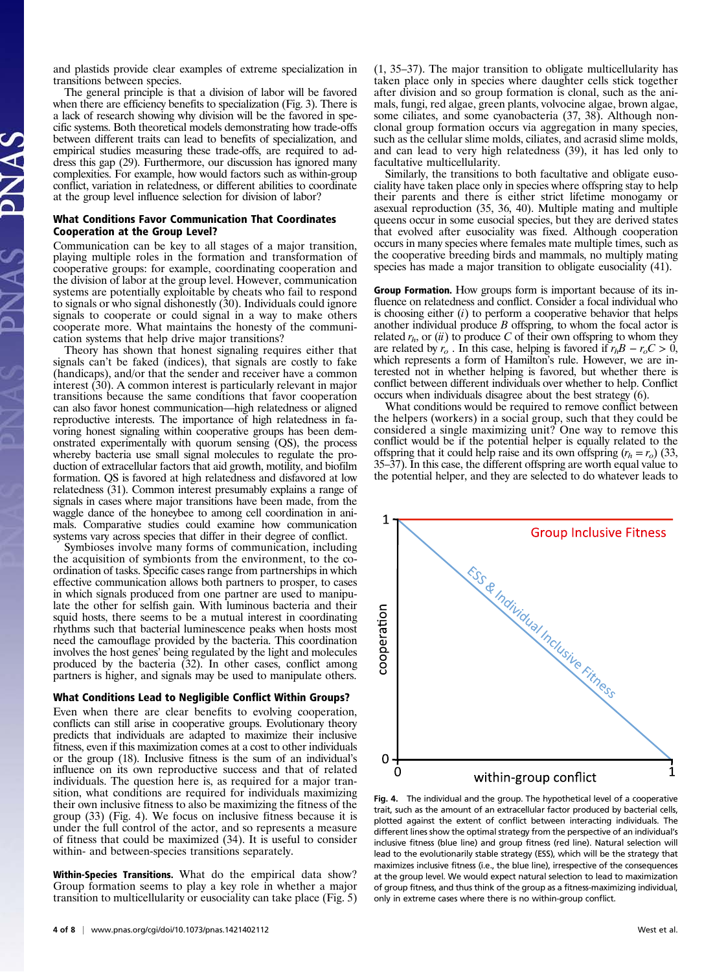and plastids provide clear examples of extreme specialization in transitions between species.

The general principle is that a division of labor will be favored when there are efficiency benefits to specialization (Fig. 3). There is a lack of research showing why division will be the favored in specific systems. Both theoretical models demonstrating how trade-offs between different traits can lead to benefits of specialization, and empirical studies measuring these trade-offs, are required to address this gap (29). Furthermore, our discussion has ignored many complexities. For example, how would factors such as within-group conflict, variation in relatedness, or different abilities to coordinate at the group level influence selection for division of labor?

## What Conditions Favor Communication That Coordinates Cooperation at the Group Level?

Communication can be key to all stages of a major transition, playing multiple roles in the formation and transformation of cooperative groups: for example, coordinating cooperation and the division of labor at the group level. However, communication systems are potentially exploitable by cheats who fail to respond to signals or who signal dishonestly (30). Individuals could ignore signals to cooperate or could signal in a way to make others cooperate more. What maintains the honesty of the communication systems that help drive major transitions?

Theory has shown that honest signaling requires either that signals can't be faked (indices), that signals are costly to fake (handicaps), and/or that the sender and receiver have a common interest (30). A common interest is particularly relevant in major transitions because the same conditions that favor cooperation can also favor honest communication—high relatedness or aligned reproductive interests. The importance of high relatedness in favoring honest signaling within cooperative groups has been demonstrated experimentally with quorum sensing (QS), the process whereby bacteria use small signal molecules to regulate the production of extracellular factors that aid growth, motility, and biofilm formation. QS is favored at high relatedness and disfavored at low relatedness (31). Common interest presumably explains a range of signals in cases where major transitions have been made, from the waggle dance of the honeybee to among cell coordination in animals. Comparative studies could examine how communication systems vary across species that differ in their degree of conflict.

Symbioses involve many forms of communication, including the acquisition of symbionts from the environment, to the coordination of tasks. Specific cases range from partnerships in which effective communication allows both partners to prosper, to cases in which signals produced from one partner are used to manipulate the other for selfish gain. With luminous bacteria and their squid hosts, there seems to be a mutual interest in coordinating rhythms such that bacterial luminescence peaks when hosts most need the camouflage provided by the bacteria. This coordination involves the host genes' being regulated by the light and molecules produced by the bacteria (32). In other cases, conflict among partners is higher, and signals may be used to manipulate others.

## What Conditions Lead to Negligible Conflict Within Groups?

Even when there are clear benefits to evolving cooperation, conflicts can still arise in cooperative groups. Evolutionary theory predicts that individuals are adapted to maximize their inclusive fitness, even if this maximization comes at a cost to other individuals or the group (18). Inclusive fitness is the sum of an individual's influence on its own reproductive success and that of related individuals. The question here is, as required for a major transition, what conditions are required for individuals maximizing their own inclusive fitness to also be maximizing the fitness of the group (33) (Fig. 4). We focus on inclusive fitness because it is under the full control of the actor, and so represents a measure of fitness that could be maximized (34). It is useful to consider within- and between-species transitions separately.

Within-Species Transitions. What do the empirical data show? Group formation seems to play a key role in whether a major transition to multicellularity or eusociality can take place (Fig. 5) (1, 35–37). The major transition to obligate multicellularity has taken place only in species where daughter cells stick together after division and so group formation is clonal, such as the animals, fungi, red algae, green plants, volvocine algae, brown algae, some ciliates, and some cyanobacteria (37, 38). Although nonclonal group formation occurs via aggregation in many species, such as the cellular slime molds, ciliates, and acrasid slime molds, and can lead to very high relatedness (39), it has led only to facultative multicellularity.

Similarly, the transitions to both facultative and obligate eusociality have taken place only in species where offspring stay to help their parents and there is either strict lifetime monogamy or asexual reproduction (35, 36, 40). Multiple mating and multiple queens occur in some eusocial species, but they are derived states that evolved after eusociality was fixed. Although cooperation occurs in many species where females mate multiple times, such as the cooperative breeding birds and mammals, no multiply mating species has made a major transition to obligate eusociality (41).

Group Formation. How groups form is important because of its influence on relatedness and conflict. Consider a focal individual who is choosing either  $(i)$  to perform a cooperative behavior that helps another individual produce  $B$  offspring, to whom the focal actor is related  $r_h$ , or (ii) to produce C of their own offspring to whom they are related by  $r_o$ . In this case, helping is favored if  $r_h B - r_o C > 0$ , which represents a form of Hamilton's rule. However, we are interested not in whether helping is favored, but whether there is conflict between different individuals over whether to help. Conflict occurs when individuals disagree about the best strategy (6).

What conditions would be required to remove conflict between the helpers (workers) in a social group, such that they could be considered a single maximizing unit? One way to remove this conflict would be if the potential helper is equally related to the offspring that it could help raise and its own offspring  $(r_h = r_o)$  (33, 35–37). In this case, the different offspring are worth equal value to the potential helper, and they are selected to do whatever leads to



Fig. 4. The individual and the group. The hypothetical level of a cooperative trait, such as the amount of an extracellular factor produced by bacterial cells, plotted against the extent of conflict between interacting individuals. The different lines show the optimal strategy from the perspective of an individual's inclusive fitness (blue line) and group fitness (red line). Natural selection will lead to the evolutionarily stable strategy (ESS), which will be the strategy that maximizes inclusive fitness (i.e., the blue line), irrespective of the consequences at the group level. We would expect natural selection to lead to maximization of group fitness, and thus think of the group as a fitness-maximizing individual, only in extreme cases where there is no within-group conflict.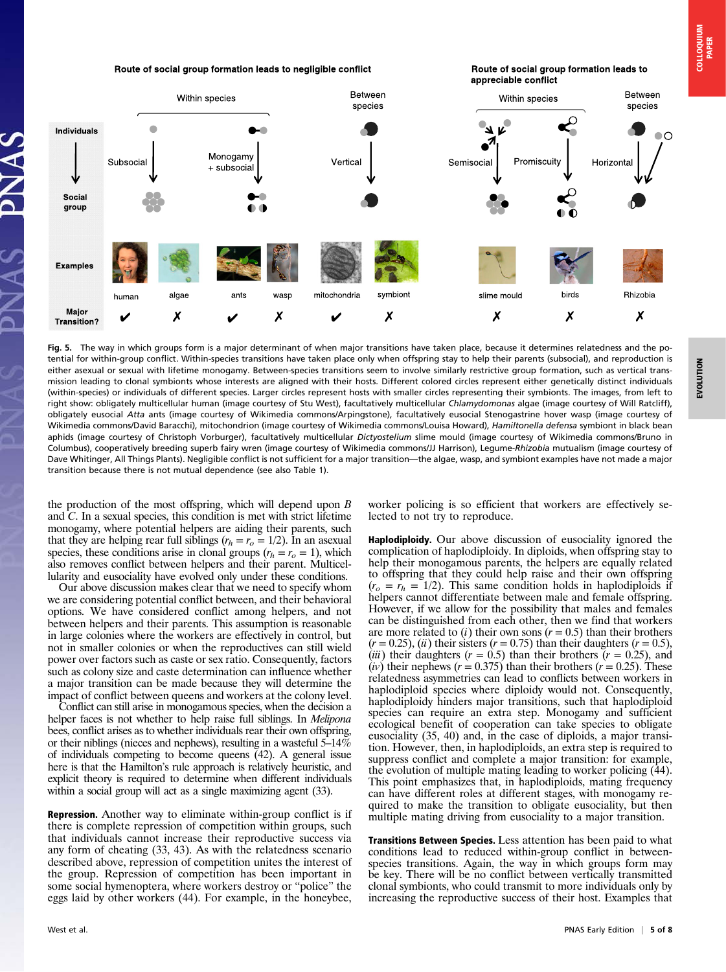EVOLUTION



Fig. 5. The way in which groups form is a major determinant of when major transitions have taken place, because it determines relatedness and the potential for within-group conflict. Within-species transitions have taken place only when offspring stay to help their parents (subsocial), and reproduction is either asexual or sexual with lifetime monogamy. Between-species transitions seem to involve similarly restrictive group formation, such as vertical transmission leading to clonal symbionts whose interests are aligned with their hosts. Different colored circles represent either genetically distinct individuals (within-species) or individuals of different species. Larger circles represent hosts with smaller circles representing their symbionts. The images, from left to right show: obligately multicellular human (image courtesy of Stu West), facultatively multicellular Chlamydomonas algae (image courtesy of Will Ratcliff), obligately eusocial Atta ants (image courtesy of Wikimedia commons/Arpingstone), facultatively eusocial Stenogastrine hover wasp (image courtesy of Wikimedia commons/David Baracchi), mitochondrion (image courtesy of Wikimedia commons/Louisa Howard), Hamiltonella defensa symbiont in black bean aphids (image courtesy of Christoph Vorburger), facultatively multicellular Dictyostelium slime mould (image courtesy of Wikimedia commons/Bruno in Columbus), cooperatively breeding superb fairy wren (image courtesy of Wikimedia commons/JJ Harrison), Legume-Rhizobia mutualism (image courtesy of Dave Whitinger, All Things Plants). Negligible conflict is not sufficient for a major transition—the algae, wasp, and symbiont examples have not made a major transition because there is not mutual dependence (see also Table 1).

the production of the most offspring, which will depend upon  $B$ and C. In a sexual species, this condition is met with strict lifetime monogamy, where potential helpers are aiding their parents, such that they are helping rear full siblings  $(r_h = r_o = 1/2)$ . In an asexual species, these conditions arise in clonal groups  $(r_h = r_o = 1)$ , which also removes conflict between helpers and their parent. Multicellularity and eusociality have evolved only under these conditions.

Our above discussion makes clear that we need to specify whom we are considering potential conflict between, and their behavioral options. We have considered conflict among helpers, and not between helpers and their parents. This assumption is reasonable in large colonies where the workers are effectively in control, but not in smaller colonies or when the reproductives can still wield power over factors such as caste or sex ratio. Consequently, factors such as colony size and caste determination can influence whether a major transition can be made because they will determine the impact of conflict between queens and workers at the colony level.

Conflict can still arise in monogamous species, when the decision a helper faces is not whether to help raise full siblings. In *Melipona* bees, conflict arises as to whether individuals rear their own offspring, or their niblings (nieces and nephews), resulting in a wasteful 5–14% of individuals competing to become queens (42). A general issue here is that the Hamilton's rule approach is relatively heuristic, and explicit theory is required to determine when different individuals within a social group will act as a single maximizing agent (33).

Repression. Another way to eliminate within-group conflict is if there is complete repression of competition within groups, such that individuals cannot increase their reproductive success via any form of cheating (33, 43). As with the relatedness scenario described above, repression of competition unites the interest of the group. Repression of competition has been important in some social hymenoptera, where workers destroy or "police" the eggs laid by other workers (44). For example, in the honeybee,

worker policing is so efficient that workers are effectively selected to not try to reproduce.

Haplodiploidy. Our above discussion of eusociality ignored the complication of haplodiploidy. In diploids, when offspring stay to help their monogamous parents, the helpers are equally related to offspring that they could help raise and their own offspring  $(r<sub>o</sub> = r<sub>h</sub> = 1/2)$ . This same condition holds in haplodiploids if helpers cannot differentiate between male and female offspring. However, if we allow for the possibility that males and females can be distinguished from each other, then we find that workers are more related to  $(i)$  their own sons  $(r = 0.5)$  than their brothers  $(r = 0.25)$ ,  $(ii)$  their sisters  $(r = 0.75)$  than their daughters  $(r = 0.5)$ , (iii) their daughters ( $r = 0.5$ ) than their brothers ( $r = 0.25$ ), and (iv) their nephews ( $r = 0.375$ ) than their brothers ( $r = 0.25$ ). These relatedness asymmetries can lead to conflicts between workers in haplodiploid species where diploidy would not. Consequently, haplodiploidy hinders major transitions, such that haplodiploid species can require an extra step. Monogamy and sufficient ecological benefit of cooperation can take species to obligate eusociality (35, 40) and, in the case of diploids, a major transition. However, then, in haplodiploids, an extra step is required to suppress conflict and complete a major transition: for example, the evolution of multiple mating leading to worker policing (44). This point emphasizes that, in haplodiploids, mating frequency can have different roles at different stages, with monogamy required to make the transition to obligate eusociality, but then multiple mating driving from eusociality to a major transition.

Transitions Between Species. Less attention has been paid to what conditions lead to reduced within-group conflict in betweenspecies transitions. Again, the way in which groups form may be key. There will be no conflict between vertically transmitted clonal symbionts, who could transmit to more individuals only by increasing the reproductive success of their host. Examples that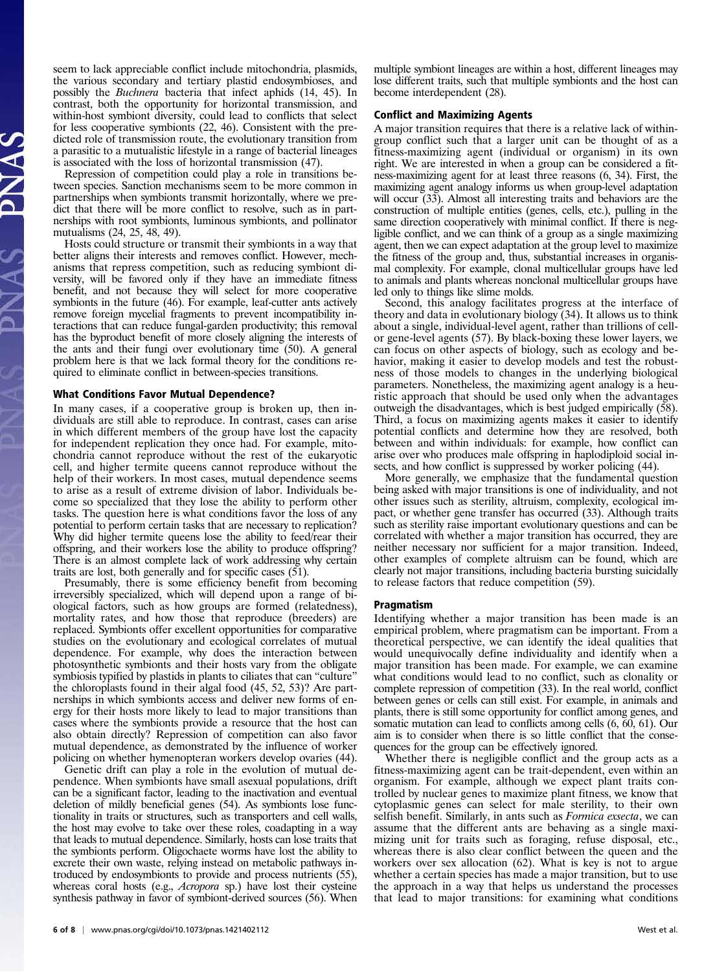seem to lack appreciable conflict include mitochondria, plasmids, the various secondary and tertiary plastid endosymbioses, and possibly the Buchnera bacteria that infect aphids (14, 45). In contrast, both the opportunity for horizontal transmission, and within-host symbiont diversity, could lead to conflicts that select for less cooperative symbionts (22, 46). Consistent with the predicted role of transmission route, the evolutionary transition from a parasitic to a mutualistic lifestyle in a range of bacterial lineages is associated with the loss of horizontal transmission (47).

Repression of competition could play a role in transitions between species. Sanction mechanisms seem to be more common in partnerships when symbionts transmit horizontally, where we predict that there will be more conflict to resolve, such as in partnerships with root symbionts, luminous symbionts, and pollinator mutualisms (24, 25, 48, 49).

Hosts could structure or transmit their symbionts in a way that better aligns their interests and removes conflict. However, mechanisms that repress competition, such as reducing symbiont diversity, will be favored only if they have an immediate fitness benefit, and not because they will select for more cooperative symbionts in the future (46). For example, leaf-cutter ants actively remove foreign mycelial fragments to prevent incompatibility interactions that can reduce fungal-garden productivity; this removal has the byproduct benefit of more closely aligning the interests of the ants and their fungi over evolutionary time (50). A general problem here is that we lack formal theory for the conditions required to eliminate conflict in between-species transitions.

## What Conditions Favor Mutual Dependence?

In many cases, if a cooperative group is broken up, then individuals are still able to reproduce. In contrast, cases can arise in which different members of the group have lost the capacity for independent replication they once had. For example, mitochondria cannot reproduce without the rest of the eukaryotic cell, and higher termite queens cannot reproduce without the help of their workers. In most cases, mutual dependence seems to arise as a result of extreme division of labor. Individuals become so specialized that they lose the ability to perform other tasks. The question here is what conditions favor the loss of any potential to perform certain tasks that are necessary to replication? Why did higher termite queens lose the ability to feed/rear their offspring, and their workers lose the ability to produce offspring? There is an almost complete lack of work addressing why certain traits are lost, both generally and for specific cases (51).

Presumably, there is some efficiency benefit from becoming irreversibly specialized, which will depend upon a range of biological factors, such as how groups are formed (relatedness), mortality rates, and how those that reproduce (breeders) are replaced. Symbionts offer excellent opportunities for comparative studies on the evolutionary and ecological correlates of mutual dependence. For example, why does the interaction between photosynthetic symbionts and their hosts vary from the obligate symbiosis typified by plastids in plants to ciliates that can "culture" the chloroplasts found in their algal food (45, 52, 53)? Are partnerships in which symbionts access and deliver new forms of energy for their hosts more likely to lead to major transitions than cases where the symbionts provide a resource that the host can also obtain directly? Repression of competition can also favor mutual dependence, as demonstrated by the influence of worker policing on whether hymenopteran workers develop ovaries (44).

Genetic drift can play a role in the evolution of mutual dependence. When symbionts have small asexual populations, drift can be a significant factor, leading to the inactivation and eventual deletion of mildly beneficial genes (54). As symbionts lose functionality in traits or structures, such as transporters and cell walls, the host may evolve to take over these roles, coadapting in a way that leads to mutual dependence. Similarly, hosts can lose traits that the symbionts perform. Oligochaete worms have lost the ability to excrete their own waste, relying instead on metabolic pathways introduced by endosymbionts to provide and process nutrients (55), whereas coral hosts (e.g., *Acropora* sp.) have lost their cysteine synthesis pathway in favor of symbiont-derived sources (56). When multiple symbiont lineages are within a host, different lineages may lose different traits, such that multiple symbionts and the host can become interdependent (28).

# Conflict and Maximizing Agents

A major transition requires that there is a relative lack of withingroup conflict such that a larger unit can be thought of as a fitness-maximizing agent (individual or organism) in its own right. We are interested in when a group can be considered a fitness-maximizing agent for at least three reasons (6, 34). First, the maximizing agent analogy informs us when group-level adaptation will occur (33). Almost all interesting traits and behaviors are the construction of multiple entities (genes, cells, etc.), pulling in the same direction cooperatively with minimal conflict. If there is negligible conflict, and we can think of a group as a single maximizing agent, then we can expect adaptation at the group level to maximize the fitness of the group and, thus, substantial increases in organismal complexity. For example, clonal multicellular groups have led to animals and plants whereas nonclonal multicellular groups have led only to things like slime molds.

Second, this analogy facilitates progress at the interface of theory and data in evolutionary biology (34). It allows us to think about a single, individual-level agent, rather than trillions of cellor gene-level agents (57). By black-boxing these lower layers, we can focus on other aspects of biology, such as ecology and behavior, making it easier to develop models and test the robustness of those models to changes in the underlying biological parameters. Nonetheless, the maximizing agent analogy is a heuristic approach that should be used only when the advantages outweigh the disadvantages, which is best judged empirically (58). Third, a focus on maximizing agents makes it easier to identify potential conflicts and determine how they are resolved, both between and within individuals: for example, how conflict can arise over who produces male offspring in haplodiploid social insects, and how conflict is suppressed by worker policing (44).

More generally, we emphasize that the fundamental question being asked with major transitions is one of individuality, and not other issues such as sterility, altruism, complexity, ecological impact, or whether gene transfer has occurred (33). Although traits such as sterility raise important evolutionary questions and can be correlated with whether a major transition has occurred, they are neither necessary nor sufficient for a major transition. Indeed, other examples of complete altruism can be found, which are clearly not major transitions, including bacteria bursting suicidally to release factors that reduce competition (59).

## Pragmatism

Identifying whether a major transition has been made is an empirical problem, where pragmatism can be important. From a theoretical perspective, we can identify the ideal qualities that would unequivocally define individuality and identify when a major transition has been made. For example, we can examine what conditions would lead to no conflict, such as clonality or complete repression of competition (33). In the real world, conflict between genes or cells can still exist. For example, in animals and plants, there is still some opportunity for conflict among genes, and somatic mutation can lead to conflicts among cells (6, 60, 61). Our aim is to consider when there is so little conflict that the consequences for the group can be effectively ignored.

Whether there is negligible conflict and the group acts as a fitness-maximizing agent can be trait-dependent, even within an organism. For example, although we expect plant traits controlled by nuclear genes to maximize plant fitness, we know that cytoplasmic genes can select for male sterility, to their own selfish benefit. Similarly, in ants such as Formica exsecta, we can assume that the different ants are behaving as a single maximizing unit for traits such as foraging, refuse disposal, etc., whereas there is also clear conflict between the queen and the workers over sex allocation (62). What is key is not to argue whether a certain species has made a major transition, but to use the approach in a way that helps us understand the processes that lead to major transitions: for examining what conditions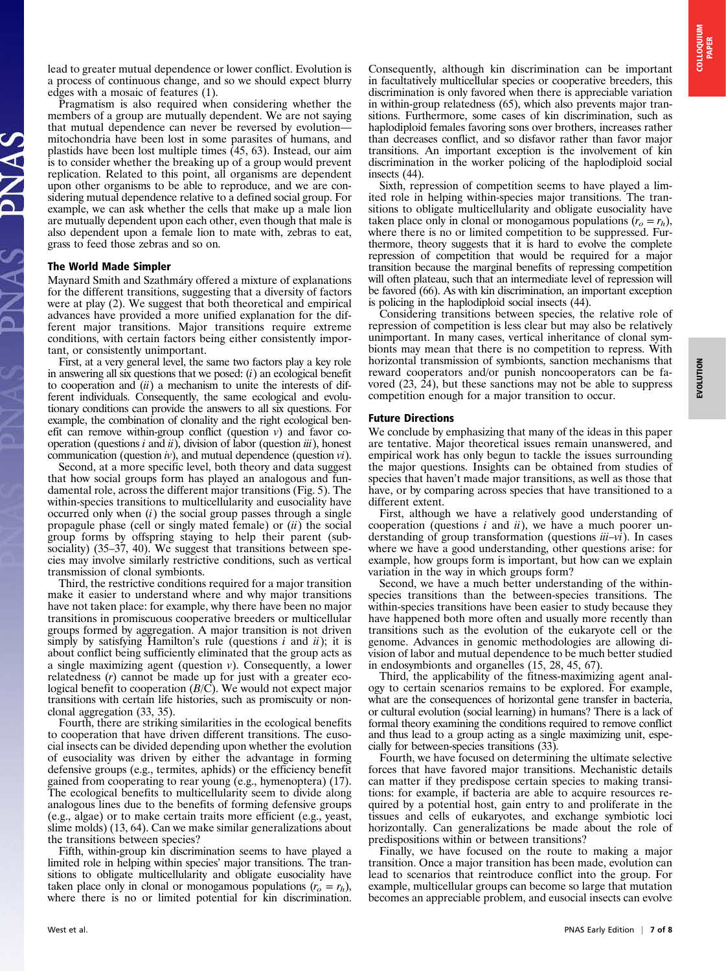EVOLUTION

lead to greater mutual dependence or lower conflict. Evolution is a process of continuous change, and so we should expect blurry edges with a mosaic of features (1).

Pragmatism is also required when considering whether the members of a group are mutually dependent. We are not saying that mutual dependence can never be reversed by evolution mitochondria have been lost in some parasites of humans, and plastids have been lost multiple times (45, 63). Instead, our aim is to consider whether the breaking up of a group would prevent replication. Related to this point, all organisms are dependent upon other organisms to be able to reproduce, and we are considering mutual dependence relative to a defined social group. For example, we can ask whether the cells that make up a male lion are mutually dependent upon each other, even though that male is also dependent upon a female lion to mate with, zebras to eat, grass to feed those zebras and so on.

# The World Made Simpler

Maynard Smith and Szathmáry offered a mixture of explanations for the different transitions, suggesting that a diversity of factors were at play (2). We suggest that both theoretical and empirical advances have provided a more unified explanation for the different major transitions. Major transitions require extreme conditions, with certain factors being either consistently important, or consistently unimportant.

First, at a very general level, the same two factors play a key role in answering all six questions that we posed:  $(i)$  an ecological benefit to cooperation and  $(ii)$  a mechanism to unite the interests of different individuals. Consequently, the same ecological and evolutionary conditions can provide the answers to all six questions. For example, the combination of clonality and the right ecological benefit can remove within-group conflict (question  $v$ ) and favor cooperation (questions  $i$  and  $ii$ ), division of labor (question  $iii$ ), honest communication (question  $iv$ ), and mutual dependence (question  $vi$ ).

Second, at a more specific level, both theory and data suggest that how social groups form has played an analogous and fundamental role, across the different major transitions (Fig. 5). The within-species transitions to multicellularity and eusociality have occurred only when  $(i)$  the social group passes through a single propagule phase (cell or singly mated female) or  $(ii)$  the social group forms by offspring staying to help their parent (subsociality) (35–37, 40). We suggest that transitions between species may involve similarly restrictive conditions, such as vertical transmission of clonal symbionts.

Third, the restrictive conditions required for a major transition make it easier to understand where and why major transitions have not taken place: for example, why there have been no major transitions in promiscuous cooperative breeders or multicellular groups formed by aggregation. A major transition is not driven simply by satisfying Hamilton's rule (questions  $i$  and  $ii$ ); it is about conflict being sufficiently eliminated that the group acts as a single maximizing agent (question  $v$ ). Consequently, a lower relatedness (r) cannot be made up for just with a greater ecological benefit to cooperation  $(B/C)$ . We would not expect major transitions with certain life histories, such as promiscuity or nonclonal aggregation (33, 35).

Fourth, there are striking similarities in the ecological benefits to cooperation that have driven different transitions. The eusocial insects can be divided depending upon whether the evolution of eusociality was driven by either the advantage in forming defensive groups (e.g., termites, aphids) or the efficiency benefit gained from cooperating to rear young (e.g., hymenoptera) (17). The ecological benefits to multicellularity seem to divide along analogous lines due to the benefits of forming defensive groups (e.g., algae) or to make certain traits more efficient (e.g., yeast, slime molds) (13, 64). Can we make similar generalizations about the transitions between species?

Fifth, within-group kin discrimination seems to have played a limited role in helping within species' major transitions. The transitions to obligate multicellularity and obligate eusociality have taken place only in clonal or monogamous populations  $(r_o = r_h)$ , where there is no or limited potential for kin discrimination.

Consequently, although kin discrimination can be important in facultatively multicellular species or cooperative breeders, this discrimination is only favored when there is appreciable variation in within-group relatedness (65), which also prevents major transitions. Furthermore, some cases of kin discrimination, such as haplodiploid females favoring sons over brothers, increases rather than decreases conflict, and so disfavor rather than favor major transitions. An important exception is the involvement of kin discrimination in the worker policing of the haplodiploid social insects (44).

Sixth, repression of competition seems to have played a limited role in helping within-species major transitions. The transitions to obligate multicellularity and obligate eusociality have taken place only in clonal or monogamous populations  $(r_o = r_h)$ , where there is no or limited competition to be suppressed. Furthermore, theory suggests that it is hard to evolve the complete repression of competition that would be required for a major transition because the marginal benefits of repressing competition will often plateau, such that an intermediate level of repression will be favored (66). As with kin discrimination, an important exception is policing in the haplodiploid social insects (44).

Considering transitions between species, the relative role of repression of competition is less clear but may also be relatively unimportant. In many cases, vertical inheritance of clonal symbionts may mean that there is no competition to repress. With horizontal transmission of symbionts, sanction mechanisms that reward cooperators and/or punish noncooperators can be favored (23, 24), but these sanctions may not be able to suppress competition enough for a major transition to occur.

#### Future Directions

We conclude by emphasizing that many of the ideas in this paper are tentative. Major theoretical issues remain unanswered, and empirical work has only begun to tackle the issues surrounding the major questions. Insights can be obtained from studies of species that haven't made major transitions, as well as those that have, or by comparing across species that have transitioned to a different extent.

First, although we have a relatively good understanding of cooperation (questions  $i$  and  $ii$ ), we have a much poorer understanding of group transformation (questions  $iii-vi$ ). In cases where we have a good understanding, other questions arise: for example, how groups form is important, but how can we explain variation in the way in which groups form?

Second, we have a much better understanding of the withinspecies transitions than the between-species transitions. The within-species transitions have been easier to study because they have happened both more often and usually more recently than transitions such as the evolution of the eukaryote cell or the genome. Advances in genomic methodologies are allowing division of labor and mutual dependence to be much better studied in endosymbionts and organelles (15, 28, 45, 67).

Third, the applicability of the fitness-maximizing agent analogy to certain scenarios remains to be explored. For example, what are the consequences of horizontal gene transfer in bacteria, or cultural evolution (social learning) in humans? There is a lack of formal theory examining the conditions required to remove conflict and thus lead to a group acting as a single maximizing unit, especially for between-species transitions (33).

Fourth, we have focused on determining the ultimate selective forces that have favored major transitions. Mechanistic details can matter if they predispose certain species to making transitions: for example, if bacteria are able to acquire resources required by a potential host, gain entry to and proliferate in the tissues and cells of eukaryotes, and exchange symbiotic loci horizontally. Can generalizations be made about the role of predispositions within or between transitions?

Finally, we have focused on the route to making a major transition. Once a major transition has been made, evolution can lead to scenarios that reintroduce conflict into the group. For example, multicellular groups can become so large that mutation becomes an appreciable problem, and eusocial insects can evolve